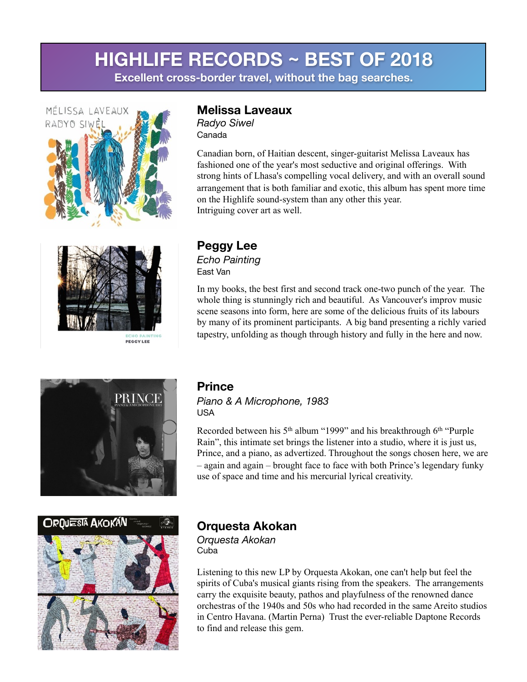**Excellent cross-border travel, without the bag searches.** 





PEGGY LEE

#### **Melissa Laveaux**

*Radyo Siwel* Canada

Canadian born, of Haitian descent, singer-guitarist Melissa Laveaux has fashioned one of the year's most seductive and original offerings. With strong hints of Lhasa's compelling vocal delivery, and with an overall sound arrangement that is both familiar and exotic, this album has spent more time on the Highlife sound-system than any other this year. Intriguing cover art as well.

#### **Peggy Lee** *Echo Painting*  East Van

In my books, the best first and second track one-two punch of the year. The whole thing is stunningly rich and beautiful. As Vancouver's improv music scene seasons into form, here are some of the delicious fruits of its labours by many of its prominent participants. A big band presenting a richly varied tapestry, unfolding as though through history and fully in the here and now.





### **Prince**

*Piano & A Microphone, 1983*  USA

Recorded between his 5<sup>th</sup> album "1999" and his breakthrough 6<sup>th</sup> "Purple" Rain", this intimate set brings the listener into a studio, where it is just us, Prince, and a piano, as advertized. Throughout the songs chosen here, we are – again and again – brought face to face with both Prince's legendary funky use of space and time and his mercurial lyrical creativity.

## **Orquesta Akokan**

*Orquesta Akokan*  Cuba

Listening to this new LP by Orquesta Akokan, one can't help but feel the spirits of Cuba's musical giants rising from the speakers. The arrangements carry the exquisite beauty, pathos and playfulness of the renowned dance orchestras of the 1940s and 50s who had recorded in the same Areito studios in Centro Havana. (Martin Perna) Trust the ever-reliable Daptone Records to find and release this gem.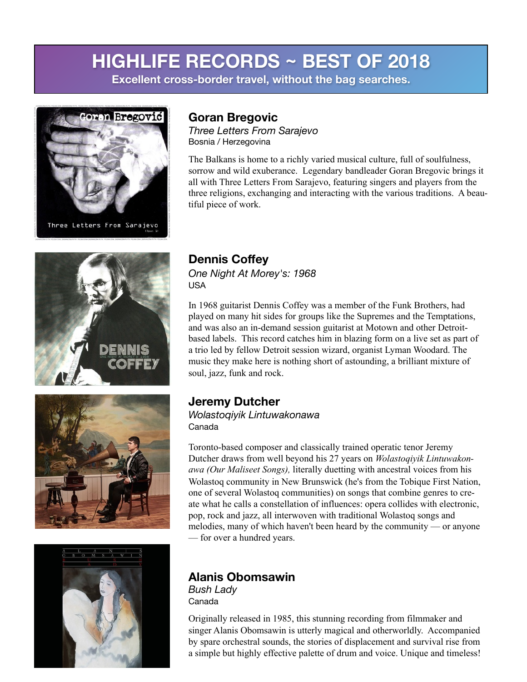**Excellent cross-border travel, without the bag searches.** 



Three Letters From Sarajevo

# DENNIS COFFEY





## **Goran Bregovic**

*Three Letters From Sarajevo*  Bosnia / Herzegovina

The Balkans is home to a richly varied musical culture, full of soulfulness, sorrow and wild exuberance. Legendary bandleader Goran Bregovic brings it all with Three Letters From Sarajevo, featuring singers and players from the three religions, exchanging and interacting with the various traditions. A beautiful piece of work.

## **Dennis Coffey**

*One Night At Morey's: 1968* USA

In 1968 guitarist Dennis Coffey was a member of the Funk Brothers, had played on many hit sides for groups like the Supremes and the Temptations, and was also an in-demand session guitarist at Motown and other Detroitbased labels. This record catches him in blazing form on a live set as part of a trio led by fellow Detroit session wizard, organist Lyman Woodard. The music they make here is nothing short of astounding, a brilliant mixture of soul, jazz, funk and rock.

#### **Jeremy Dutcher**

*Wolastoqiyik Lintuwakonawa* Canada

Toronto-based composer and classically trained operatic tenor Jeremy Dutcher draws from well beyond his 27 years on *Wolastoqiyik Lintuwakonawa (Our Maliseet Songs),* literally duetting with ancestral voices from his Wolastoq community in New Brunswick (he's from the Tobique First Nation, one of several Wolastoq communities) on songs that combine genres to create what he calls a constellation of influences: opera collides with electronic, pop, rock and jazz, all interwoven with traditional Wolastoq songs and melodies, many of which haven't been heard by the community — or anyone — for over a hundred years.

#### **Alanis Obomsawin**

*Bush Lady*  Canada

Originally released in 1985, this stunning recording from filmmaker and singer Alanis Obomsawin is utterly magical and otherworldly. Accompanied by spare orchestral sounds, the stories of displacement and survival rise from a simple but highly effective palette of drum and voice. Unique and timeless!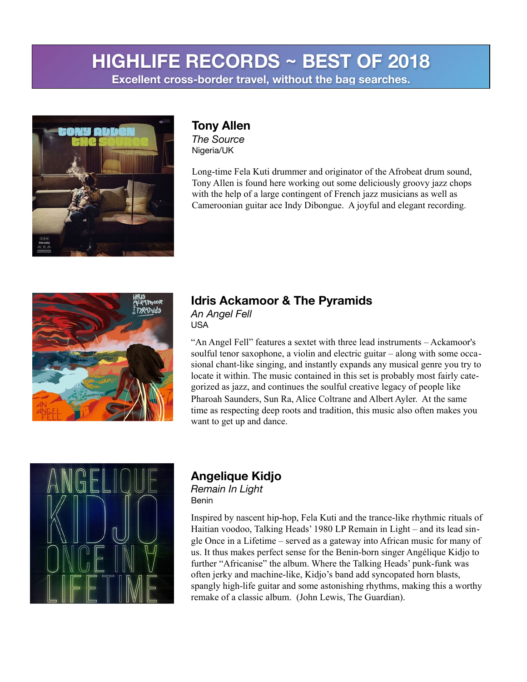**Excellent cross-border travel, without the bag searches.** 



## **Tony Allen**

*The Source* Nigeria/UK

Long-time Fela Kuti drummer and originator of the Afrobeat drum sound, Tony Allen is found here working out some deliciously groovy jazz chops with the help of a large contingent of French jazz musicians as well as Cameroonian guitar ace Indy Dibongue. A joyful and elegant recording.



#### **Idris Ackamoor & The Pyramids** *An Angel Fell*

USA

"An Angel Fell" features a sextet with three lead instruments – Ackamoor's soulful tenor saxophone, a violin and electric guitar – along with some occasional chant-like singing, and instantly expands any musical genre you try to locate it within. The music contained in this set is probably most fairly categorized as jazz, and continues the soulful creative legacy of people like Pharoah Saunders, Sun Ra, Alice Coltrane and Albert Ayler. At the same time as respecting deep roots and tradition, this music also often makes you want to get up and dance.



#### **Angelique Kidjo**  *Remain In Light* Benin

Inspired by nascent hip-hop, Fela Kuti and the trance-like rhythmic rituals of Haitian voodoo, Talking Heads' 1980 LP Remain in Light – and its lead single Once in a Lifetime – served as a gateway into African music for many of us. It thus makes perfect sense for the Benin-born singer Angélique Kidjo to further "Africanise" the album. Where the Talking Heads' punk-funk was often jerky and machine-like, Kidjo's band add syncopated horn blasts, spangly high-life guitar and some astonishing rhythms, making this a worthy remake of a classic album. (John Lewis, The Guardian).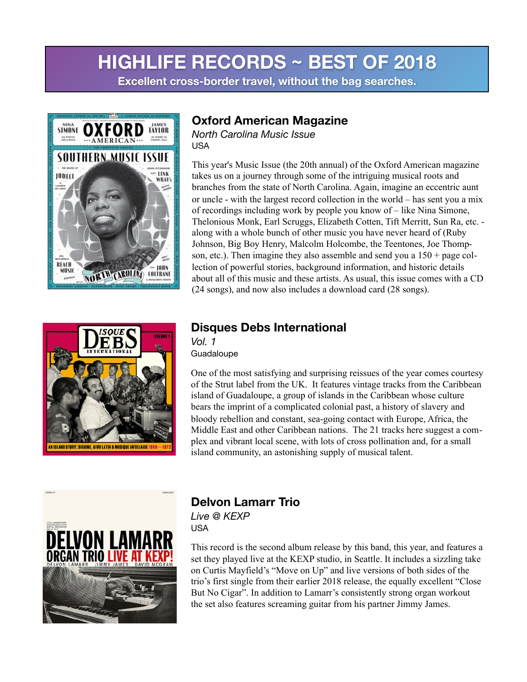## **HIGHLIFE RECORDS ~ BEST OF 2018 Excellent cross-border travel, without the bag searches.**





#### **Oxford American Magazine**

*North Carolina Music Issue* USA

This year's Music Issue (the 20th annual) of the Oxford American magazine takes us on a journey through some of the intriguing musical roots and branches from the state of North Carolina. Again, imagine an eccentric aunt or uncle - with the largest record collection in the world – has sent you a mix of recordings including work by people you know of – like Nina Simone, Thelonious Monk, Earl Scruggs, Elizabeth Cotten, Tift Merritt, Sun Ra, etc. along with a whole bunch of other music you have never heard of (Ruby Johnson, Big Boy Henry, Malcolm Holcombe, the Teentones, Joe Thompson, etc.). Then imagine they also assemble and send you a 150 + page collection of powerful stories, background information, and historic details about all of this music and these artists. As usual, this issue comes with a CD (24 songs), and now also includes a download card (28 songs).

#### **Disques Debs International**

*Vol. 1* **Guadaloupe** 

One of the most satisfying and surprising reissues of the year comes courtesy of the Strut label from the UK. It features vintage tracks from the Caribbean island of Guadaloupe, a group of islands in the Caribbean whose culture bears the imprint of a complicated colonial past, a history of slavery and bloody rebellion and constant, sea-going contact with Europe, Africa, the Middle East and other Caribbean nations. The 21 tracks here suggest a complex and vibrant local scene, with lots of cross pollination and, for a small island community, an astonishing supply of musical talent.



#### **Delvon Lamarr Trio** *Live @ KEXP*

USA

This record is the second album release by this band, this year, and features a set they played live at the KEXP studio, in Seattle. It includes a sizzling take on Curtis Mayfield's "Move on Up" and live versions of both sides of the trio's first single from their earlier 2018 release, the equally excellent "Close But No Cigar". In addition to Lamarr's consistently strong organ workout the set also features screaming guitar from his partner Jimmy James.